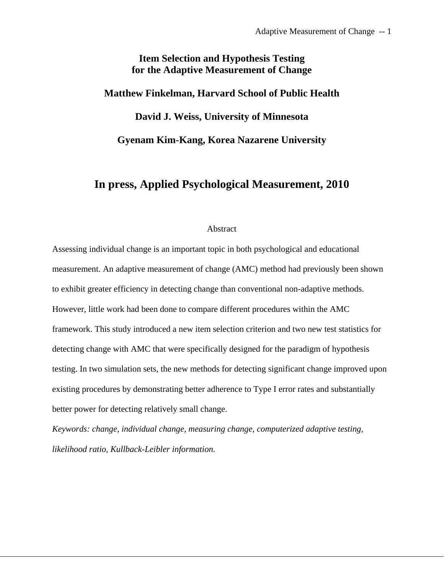# **Item Selection and Hypothesis Testing for the Adaptive Measurement of Change**

# **Matthew Finkelman, Harvard School of Public Health**

**David J. Weiss, University of Minnesota** 

**Gyenam Kim-Kang, Korea Nazarene University** 

# **In press, Applied Psychological Measurement, 2010**

## Abstract

Assessing individual change is an important topic in both psychological and educational measurement. An adaptive measurement of change (AMC) method had previously been shown to exhibit greater efficiency in detecting change than conventional non-adaptive methods. However, little work had been done to compare different procedures within the AMC framework. This study introduced a new item selection criterion and two new test statistics for detecting change with AMC that were specifically designed for the paradigm of hypothesis testing. In two simulation sets, the new methods for detecting significant change improved upon existing procedures by demonstrating better adherence to Type I error rates and substantially better power for detecting relatively small change.

*Keywords: change, individual change, measuring change, computerized adaptive testing, likelihood ratio, Kullback-Leibler information.*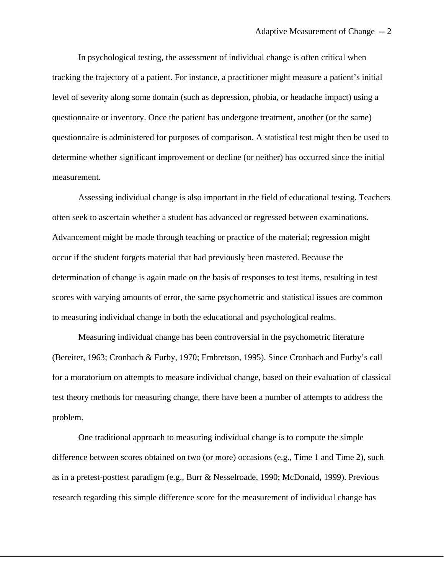In psychological testing, the assessment of individual change is often critical when tracking the trajectory of a patient. For instance, a practitioner might measure a patient's initial level of severity along some domain (such as depression, phobia, or headache impact) using a questionnaire or inventory. Once the patient has undergone treatment, another (or the same) questionnaire is administered for purposes of comparison. A statistical test might then be used to determine whether significant improvement or decline (or neither) has occurred since the initial measurement.

Assessing individual change is also important in the field of educational testing. Teachers often seek to ascertain whether a student has advanced or regressed between examinations. Advancement might be made through teaching or practice of the material; regression might occur if the student forgets material that had previously been mastered. Because the determination of change is again made on the basis of responses to test items, resulting in test scores with varying amounts of error, the same psychometric and statistical issues are common to measuring individual change in both the educational and psychological realms.

Measuring individual change has been controversial in the psychometric literature (Bereiter, 1963; Cronbach & Furby, 1970; Embretson, 1995). Since Cronbach and Furby's call for a moratorium on attempts to measure individual change, based on their evaluation of classical test theory methods for measuring change, there have been a number of attempts to address the problem.

One traditional approach to measuring individual change is to compute the simple difference between scores obtained on two (or more) occasions (e.g., Time 1 and Time 2), such as in a pretest-posttest paradigm (e.g., Burr & Nesselroade, 1990; McDonald, 1999). Previous research regarding this simple difference score for the measurement of individual change has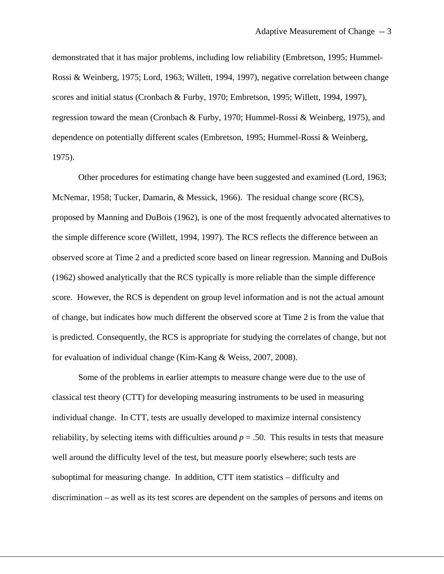demonstrated that it has major problems, including low reliability (Embretson, 1995; Hummel-Rossi & Weinberg, 1975; Lord, 1963; Willett, 1994, 1997), negative correlation between change scores and initial status (Cronbach & Furby, 1970; Embretson, 1995; Willett, 1994, 1997), regression toward the mean (Cronbach & Furby, 1970; Hummel-Rossi & Weinberg, 1975), and dependence on potentially different scales (Embretson, 1995; Hummel-Rossi & Weinberg, 1975).

Other procedures for estimating change have been suggested and examined (Lord, 1963; McNemar, 1958; Tucker, Damarin, & Messick, 1966). The residual change score (RCS), proposed by Manning and DuBois (1962), is one of the most frequently advocated alternatives to the simple difference score (Willett, 1994, 1997). The RCS reflects the difference between an observed score at Time 2 and a predicted score based on linear regression. Manning and DuBois (1962) showed analytically that the RCS typically is more reliable than the simple difference score. However, the RCS is dependent on group level information and is not the actual amount of change, but indicates how much different the observed score at Time 2 is from the value that is predicted. Consequently, the RCS is appropriate for studying the correlates of change, but not for evaluation of individual change (Kim-Kang & Weiss, 2007, 2008).

Some of the problems in earlier attempts to measure change were due to the use of classical test theory (CTT) for developing measuring instruments to be used in measuring individual change. In CTT, tests are usually developed to maximize internal consistency reliability, by selecting items with difficulties around  $p = .50$ . This results in tests that measure well around the difficulty level of the test, but measure poorly elsewhere; such tests are suboptimal for measuring change. In addition, CTT item statistics – difficulty and discrimination – as well as its test scores are dependent on the samples of persons and items on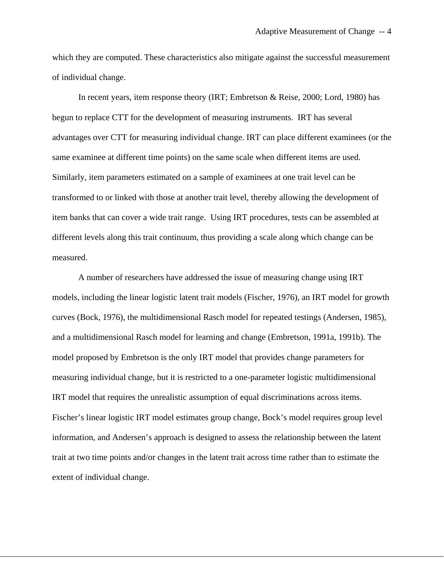which they are computed. These characteristics also mitigate against the successful measurement of individual change.

In recent years, item response theory (IRT; Embretson & Reise, 2000; Lord, 1980) has begun to replace CTT for the development of measuring instruments. IRT has several advantages over CTT for measuring individual change. IRT can place different examinees (or the same examinee at different time points) on the same scale when different items are used. Similarly, item parameters estimated on a sample of examinees at one trait level can be transformed to or linked with those at another trait level, thereby allowing the development of item banks that can cover a wide trait range. Using IRT procedures, tests can be assembled at different levels along this trait continuum, thus providing a scale along which change can be measured.

A number of researchers have addressed the issue of measuring change using IRT models, including the linear logistic latent trait models (Fischer, 1976), an IRT model for growth curves (Bock, 1976), the multidimensional Rasch model for repeated testings (Andersen, 1985), and a multidimensional Rasch model for learning and change (Embretson, 1991a, 1991b). The model proposed by Embretson is the only IRT model that provides change parameters for measuring individual change, but it is restricted to a one-parameter logistic multidimensional IRT model that requires the unrealistic assumption of equal discriminations across items. Fischer's linear logistic IRT model estimates group change, Bock's model requires group level information, and Andersen's approach is designed to assess the relationship between the latent trait at two time points and/or changes in the latent trait across time rather than to estimate the extent of individual change.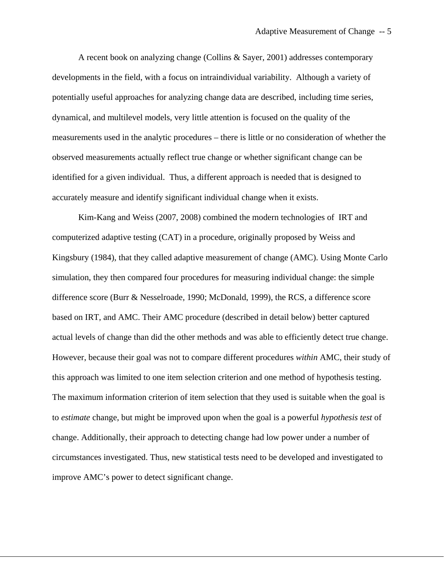A recent book on analyzing change (Collins & Sayer, 2001) addresses contemporary developments in the field, with a focus on intraindividual variability. Although a variety of potentially useful approaches for analyzing change data are described, including time series, dynamical, and multilevel models, very little attention is focused on the quality of the measurements used in the analytic procedures – there is little or no consideration of whether the observed measurements actually reflect true change or whether significant change can be identified for a given individual. Thus, a different approach is needed that is designed to accurately measure and identify significant individual change when it exists.

Kim-Kang and Weiss (2007, 2008) combined the modern technologies of IRT and computerized adaptive testing (CAT) in a procedure, originally proposed by Weiss and Kingsbury (1984), that they called adaptive measurement of change (AMC). Using Monte Carlo simulation, they then compared four procedures for measuring individual change: the simple difference score (Burr & Nesselroade, 1990; McDonald, 1999), the RCS, a difference score based on IRT, and AMC. Their AMC procedure (described in detail below) better captured actual levels of change than did the other methods and was able to efficiently detect true change. However, because their goal was not to compare different procedures *within* AMC, their study of this approach was limited to one item selection criterion and one method of hypothesis testing. The maximum information criterion of item selection that they used is suitable when the goal is to *estimate* change, but might be improved upon when the goal is a powerful *hypothesis test* of change. Additionally, their approach to detecting change had low power under a number of circumstances investigated. Thus, new statistical tests need to be developed and investigated to improve AMC's power to detect significant change.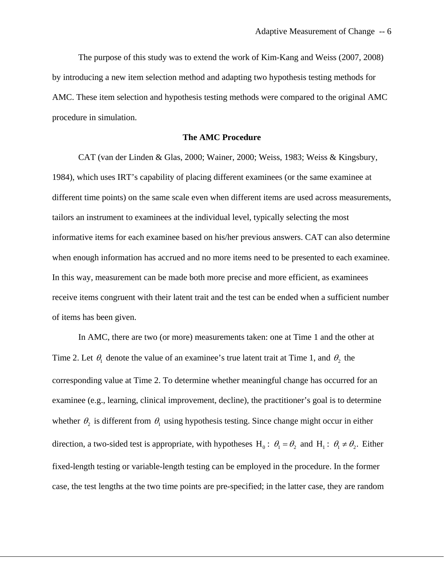The purpose of this study was to extend the work of Kim-Kang and Weiss (2007, 2008) by introducing a new item selection method and adapting two hypothesis testing methods for AMC. These item selection and hypothesis testing methods were compared to the original AMC procedure in simulation.

#### **The AMC Procedure**

CAT (van der Linden & Glas, 2000; Wainer, 2000; Weiss, 1983; Weiss & Kingsbury, 1984), which uses IRT's capability of placing different examinees (or the same examinee at different time points) on the same scale even when different items are used across measurements, tailors an instrument to examinees at the individual level, typically selecting the most informative items for each examinee based on his/her previous answers. CAT can also determine when enough information has accrued and no more items need to be presented to each examinee. In this way, measurement can be made both more precise and more efficient, as examinees receive items congruent with their latent trait and the test can be ended when a sufficient number of items has been given.

In AMC, there are two (or more) measurements taken: one at Time 1 and the other at Time 2. Let  $\theta_1$  denote the value of an examinee's true latent trait at Time 1, and  $\theta_2$  the corresponding value at Time 2. To determine whether meaningful change has occurred for an examinee (e.g., learning, clinical improvement, decline), the practitioner's goal is to determine whether  $\theta_2$  is different from  $\theta_1$  using hypothesis testing. Since change might occur in either direction, a two-sided test is appropriate, with hypotheses H<sub>0</sub>:  $\theta_1 = \theta_2$  and H<sub>1</sub>:  $\theta_1 \neq \theta_2$ . Either fixed-length testing or variable-length testing can be employed in the procedure. In the former case, the test lengths at the two time points are pre-specified; in the latter case, they are random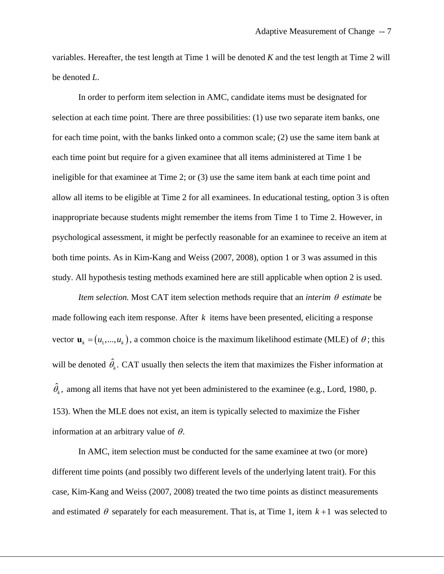variables. Hereafter, the test length at Time 1 will be denoted *K* and the test length at Time 2 will be denoted *L*.

In order to perform item selection in AMC, candidate items must be designated for selection at each time point. There are three possibilities: (1) use two separate item banks, one for each time point, with the banks linked onto a common scale; (2) use the same item bank at each time point but require for a given examinee that all items administered at Time 1 be ineligible for that examinee at Time 2; or (3) use the same item bank at each time point and allow all items to be eligible at Time 2 for all examinees. In educational testing, option 3 is often inappropriate because students might remember the items from Time 1 to Time 2. However, in psychological assessment, it might be perfectly reasonable for an examinee to receive an item at both time points. As in Kim-Kang and Weiss (2007, 2008), option 1 or 3 was assumed in this study. All hypothesis testing methods examined here are still applicable when option 2 is used.

*Item selection.* Most CAT item selection methods require that an *interim* θ *estimate* be made following each item response. After  $k$  items have been presented, eliciting a response vector  $\mathbf{u}_k = (u_1, ..., u_k)$ , a common choice is the maximum likelihood estimate (MLE) of  $\theta$ ; this will be denoted  $\hat{\theta}_k$ . CAT usually then selects the item that maximizes the Fisher information at  $\hat{\theta}_k$ , among all items that have not yet been administered to the examinee (e.g., Lord, 1980, p. 153). When the MLE does not exist, an item is typically selected to maximize the Fisher information at an arbitrary value of  $\theta$ .

 In AMC, item selection must be conducted for the same examinee at two (or more) different time points (and possibly two different levels of the underlying latent trait). For this case, Kim-Kang and Weiss (2007, 2008) treated the two time points as distinct measurements and estimated  $\theta$  separately for each measurement. That is, at Time 1, item  $k+1$  was selected to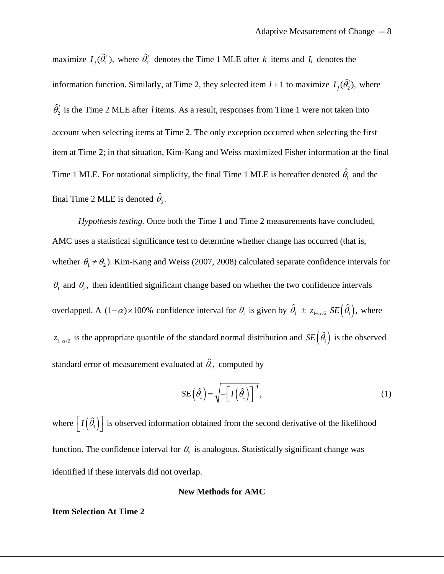maximize  $I_j(\hat{\theta}_1^k)$ , where  $\hat{\theta}_1^k$  denotes the Time 1 MLE after *k* items and *I<sub>j</sub>* denotes the information function. Similarly, at Time 2, they selected item  $l+1$  to maximize  $I_j(\hat{\theta}_2^l)$ , where  $\hat{\theta}_2^l$  is the Time 2 MLE after *l* items. As a result, responses from Time 1 were not taken into account when selecting items at Time 2. The only exception occurred when selecting the first item at Time 2; in that situation, Kim-Kang and Weiss maximized Fisher information at the final Time 1 MLE. For notational simplicity, the final Time 1 MLE is hereafter denoted  $\hat{\theta}_1$  and the final Time 2 MLE is denoted  $\hat{\theta}_2$ .

*Hypothesis testing.* Once both the Time 1 and Time 2 measurements have concluded, AMC uses a statistical significance test to determine whether change has occurred (that is, whether  $\theta_1 \neq \theta_2$ ). Kim-Kang and Weiss (2007, 2008) calculated separate confidence intervals for  $\theta_1$  and  $\theta_2$ , then identified significant change based on whether the two confidence intervals overlapped. A  $(1 - \alpha) \times 100\%$  confidence interval for  $\theta_1$  is given by  $\hat{\theta}_1 \pm z_{1-\alpha/2}$   $SE(\hat{\theta}_1)$ , where  $z_{1-\alpha/2}$  is the appropriate quantile of the standard normal distribution and  $SE(\hat{\theta}_1)$  is the observed standard error of measurement evaluated at  $\hat{\theta}_1$ , computed by

$$
SE\left(\hat{\theta}_{1}\right) = \sqrt{-\left[I\left(\hat{\theta}_{1}\right)\right]^{-1}},\tag{1}
$$

where  $[I(\hat{\theta}_1)]$  is observed information obtained from the second derivative of the likelihood function. The confidence interval for  $\theta_2$  is analogous. Statistically significant change was identified if these intervals did not overlap.

## **New Methods for AMC**

#### **Item Selection At Time 2**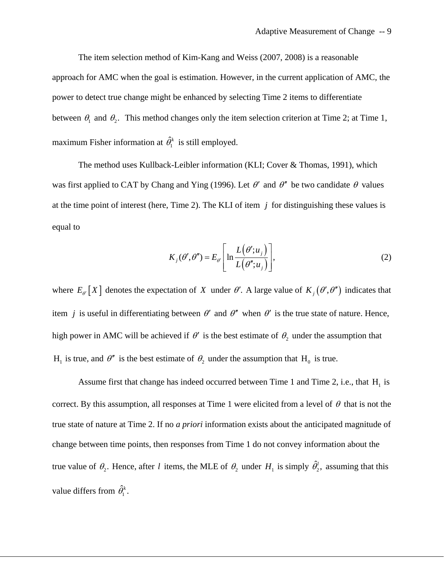The item selection method of Kim-Kang and Weiss (2007, 2008) is a reasonable approach for AMC when the goal is estimation. However, in the current application of AMC, the power to detect true change might be enhanced by selecting Time 2 items to differentiate between  $\theta_1$  and  $\theta_2$ . This method changes only the item selection criterion at Time 2; at Time 1, maximum Fisher information at  $\hat{\theta}_1^k$  is still employed.

The method uses Kullback-Leibler information (KLI; Cover & Thomas, 1991), which was first applied to CAT by Chang and Ying (1996). Let  $\theta'$  and  $\theta''$  be two candidate  $\theta$  values at the time point of interest (here, Time 2). The KLI of item *j* for distinguishing these values is equal to

$$
K_j(\theta', \theta'') = E_{\theta'} \left[ \ln \frac{L(\theta'; u_j)}{L(\theta''; u_j)} \right],
$$
 (2)

where  $E_{\theta}$ [X] denotes the expectation of *X* under  $\theta'$ . A large value of  $K_i(\theta', \theta'')$  indicates that item *j* is useful in differentiating between  $\theta'$  and  $\theta''$  when  $\theta'$  is the true state of nature. Hence, high power in AMC will be achieved if  $\theta'$  is the best estimate of  $\theta_2$  under the assumption that  $H_1$  is true, and  $\theta''$  is the best estimate of  $\theta_2$  under the assumption that  $H_0$  is true.

Assume first that change has indeed occurred between Time 1 and Time 2, i.e., that  $H_1$  is correct. By this assumption, all responses at Time 1 were elicited from a level of  $\theta$  that is not the true state of nature at Time 2. If no *a priori* information exists about the anticipated magnitude of change between time points, then responses from Time 1 do not convey information about the true value of  $\theta_2$ . Hence, after *l* items, the MLE of  $\theta_2$  under  $H_1$  is simply  $\hat{\theta}'_2$ , assuming that this value differs from  $\hat{\theta}_1^k$ .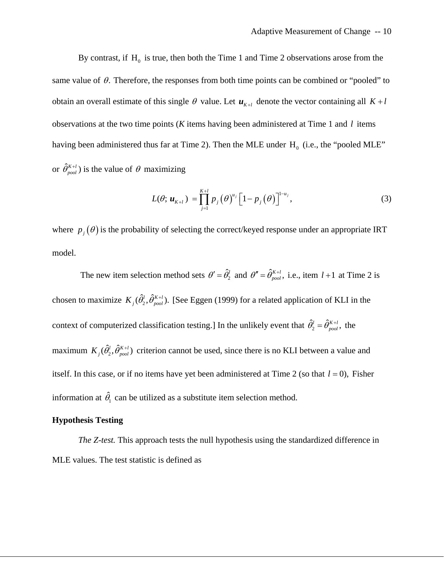By contrast, if  $H_0$  is true, then both the Time 1 and Time 2 observations arose from the same value of  $\theta$ . Therefore, the responses from both time points can be combined or "pooled" to obtain an overall estimate of this single  $\theta$  value. Let  $\mathbf{u}_{K+1}$  denote the vector containing all  $K + l$ observations at the two time points (*K* items having been administered at Time 1 and *l* items having been administered thus far at Time 2). Then the MLE under  $H_0$  (i.e., the "pooled MLE" or  $\hat{\theta}_{pool}^{K+l}$ ) is the value of  $\theta$  maximizing

$$
L(\theta; \mathbf{u}_{K+l}) = \prod_{j=1}^{K+l} p_j(\theta)^{u_j} \left[1 - p_j(\theta)\right]^{1-u_j}, \tag{3}
$$

where  $p_j(\theta)$  is the probability of selecting the correct/keyed response under an appropriate IRT model.

The new item selection method sets  $\theta' = \hat{\theta}_2^l$  and  $\theta'' = \hat{\theta}_{pool}^{K+l}$ , i.e., item  $l+1$  at Time 2 is chosen to maximize  $K_j(\hat{\theta}_1^l, \hat{\theta}_{pool}^{K+l})$ . [See Eggen (1999) for a related application of KLI in the context of computerized classification testing.] In the unlikely event that  $\hat{\theta}_2^l = \hat{\theta}_{pool}^{K+l}$ , the maximum  $K_i(\hat{\theta}_i^l, \hat{\theta}_{mod}^{K+l})$  criterion cannot be used, since there is no KLI between a value and itself. In this case, or if no items have yet been administered at Time 2 (so that  $l = 0$ ), Fisher information at  $\hat{\theta}_1$  can be utilized as a substitute item selection method. *pool* +  $K_{j}^{{}}(\hat{\theta}_{2}^{l},\hat{\theta}_{p\alpha}^{K}% )=0,$ 

## **Hypothesis Testing**

*The Z-test.* This approach tests the null hypothesis using the standardized difference in MLE values. The test statistic is defined as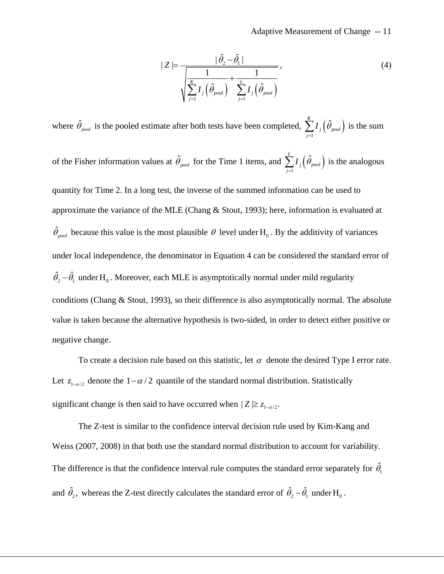$$
|Z| = \frac{|\hat{\theta}_2 - \hat{\theta}_1|}{\sqrt{\sum_{j=1}^K I_j(\hat{\theta}_{pool}) + \sum_{j=1}^L I_j(\hat{\theta}_{pool})}},
$$
\n(4)

where  $\hat{\theta}_{pool}$  is the pooled estimate after both tests have been completed,  $\sum I_j(\hat{\theta}_{pool})$  is the sum 1  $\sum\limits_{j}^{K}{{I}_{j}{\left( \hat{\theta }_{pool}\right) }}$ *j*  $I_i(\tilde{\theta}_i)$  $\sum_{j=1} I_{\scriptscriptstyle{J}} \Big( \hat{\theta}_{\scriptscriptstyle{pool}} \Big)$ 

of the Fisher information values at  $\hat{\theta}_{pool}$  for the Time 1 items, and  $\sum_{i=1}^{n} I_i(\hat{\theta}_{pool})$  is the analogous 1 *L j j I*  $\sum_{j=1}$ 

quantity for Time 2. In a long test, the inverse of the summed information can be used to approximate the variance of the MLE (Chang & Stout, 1993); here, information is evaluated at  $\hat{\theta}_{pool}$  because this value is the most plausible  $\theta$  level under H<sub>0</sub>. By the additivity of variances under local independence, the denominator in Equation 4 can be considered the standard error of  $\hat{\theta}_2 - \hat{\theta}_1$  under H<sub>0</sub>. Moreover, each MLE is asymptotically normal under mild regularity conditions (Chang & Stout, 1993), so their difference is also asymptotically normal. The absolute value is taken because the alternative hypothesis is two-sided, in order to detect either positive or negative change.

To create a decision rule based on this statistic, let  $\alpha$  denote the desired Type I error rate. Let  $z_{1-\alpha/2}$  denote the  $1-\alpha/2$  quantile of the standard normal distribution. Statistically significant change is then said to have occurred when  $|Z| \geq z_{1-\alpha/2}$ .

The Z-test is similar to the confidence interval decision rule used by Kim-Kang and Weiss (2007, 2008) in that both use the standard normal distribution to account for variability. The difference is that the confidence interval rule computes the standard error separately for  $\hat{\theta_{\text{\tiny{l}}}}$ and  $\hat{\theta}_2$ , whereas the Z-test directly calculates the standard error of  $\hat{\theta}_2 - \hat{\theta}_1$  under  $H_0$ .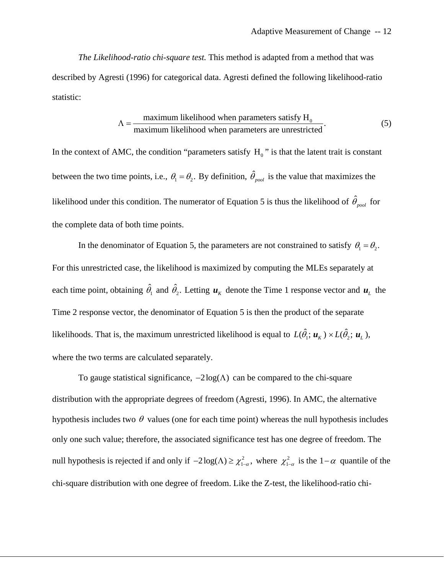*The Likelihood-ratio chi-square test.* This method is adapted from a method that was described by Agresti (1996) for categorical data. Agresti defined the following likelihood-ratio statistic:

$$
\Lambda = \frac{\text{maximum likelihood when parameters satisfy H}_0}{\text{maximum likelihood when parameters are unrestricted}}.
$$
\n(5)

In the context of AMC, the condition "parameters satisfy  $H_0$ " is that the latent trait is constant between the two time points, i.e.,  $\theta_1 = \theta_2$ . By definition,  $\hat{\theta}_{pool}$  is the value that maximizes the likelihood under this condition. The numerator of Equation 5 is thus the likelihood of  $\hat{\theta}_{pool}$  for the complete data of both time points.

In the denominator of Equation 5, the parameters are not constrained to satisfy  $\theta_1 = \theta_2$ . For this unrestricted case, the likelihood is maximized by computing the MLEs separately at each time point, obtaining  $\hat{\theta}_1$  and  $\hat{\theta}_2$ . Letting  $\hat{\mu}_k$  denote the Time 1 response vector and  $\hat{\mu}_L$  the Time 2 response vector, the denominator of Equation 5 is then the product of the separate likelihoods. That is, the maximum unrestricted likelihood is equal to  $L(\hat{\theta}_1; \mathbf{u}_K) \times L(\hat{\theta}_2; \mathbf{u}_L)$ , where the two terms are calculated separately.

To gauge statistical significance,  $-2\log(\Lambda)$  can be compared to the chi-square distribution with the appropriate degrees of freedom (Agresti, 1996). In AMC, the alternative hypothesis includes two  $\theta$  values (one for each time point) whereas the null hypothesis includes only one such value; therefore, the associated significance test has one degree of freedom. The null hypothesis is rejected if and only if  $-2\log(\Lambda) \ge \chi^2_{1-\alpha}$ , where  $\chi^2_{1-\alpha}$  is the  $1-\alpha$  quantile of the chi-square distribution with one degree of freedom. Like the Z-test, the likelihood-ratio chi-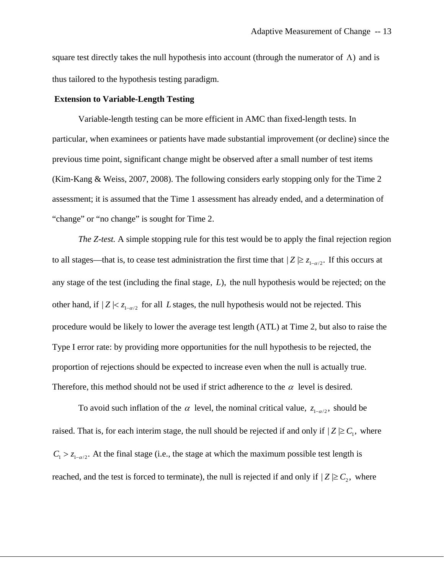square test directly takes the null hypothesis into account (through the numerator of  $\Lambda$ ) and is thus tailored to the hypothesis testing paradigm.

#### **Extension to Variable-Length Testing**

 Variable-length testing can be more efficient in AMC than fixed-length tests. In particular, when examinees or patients have made substantial improvement (or decline) since the previous time point, significant change might be observed after a small number of test items (Kim-Kang & Weiss, 2007, 2008). The following considers early stopping only for the Time 2 assessment; it is assumed that the Time 1 assessment has already ended, and a determination of "change" or "no change" is sought for Time 2.

*The Z-test.* A simple stopping rule for this test would be to apply the final rejection region to all stages—that is, to cease test administration the first time that  $|Z| \ge z_{1-\alpha/2}$ . If this occurs at any stage of the test (including the final stage,  $L$ ), the null hypothesis would be rejected; on the other hand, if  $|Z| < z_{1-\alpha/2}$  for all L stages, the null hypothesis would not be rejected. This procedure would be likely to lower the average test length (ATL) at Time 2, but also to raise the Type I error rate: by providing more opportunities for the null hypothesis to be rejected, the proportion of rejections should be expected to increase even when the null is actually true. Therefore, this method should not be used if strict adherence to the  $\alpha$  level is desired.

To avoid such inflation of the  $\alpha$  level, the nominal critical value,  $z_{1-\alpha/2}$ , should be raised. That is, for each interim stage, the null should be rejected if and only if  $|Z| \geq C_1$ , where reached, and the test is forced to terminate), the null is rejected if and only if  $|Z| \geq C_2$ , where  $C_1 > z_{1-\alpha/2}$ . At the final stage (i.e., the stage at which the maximum possible test length is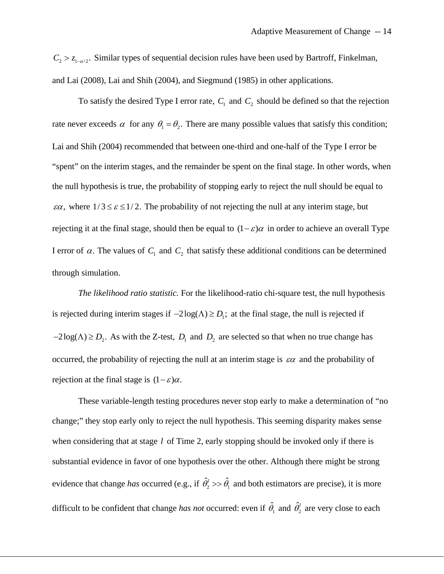$C_2 > z_{1-\alpha/2}$ . Similar types of sequential decision rules have been used by Bartroff, Finkelman, and Lai (2008), Lai and Shih (2004), and Siegmund (1985) in other applications.

To satisfy the desired Type I error rate,  $C_1$  and  $C_2$  should be defined so that the rejection rate never exceeds  $\alpha$  for any  $\theta_1 = \theta_2$ . There are many possible values that satisfy this condition; Lai and Shih (2004) recommended that between one-third and one-half of the Type I error be "spent" on the interim stages, and the remainder be spent on the final stage. In other words, when the null hypothesis is true, the probability of stopping early to reject the null should be equal to  $\epsilon \alpha$ , where  $1/3 \leq \epsilon \leq 1/2$ . The probability of not rejecting the null at any interim stage, but rejecting it at the final stage, should then be equal to  $(1-\varepsilon)\alpha$  in order to achieve an overall Type I error of  $\alpha$ . The values of  $C_1$  and  $C_2$  that satisfy these additional conditions can be determined through simulation.

*The likelihood ratio statistic.* For the likelihood-ratio chi-square test, the null hypothesis is rejected during interim stages if  $-2\log(\Lambda) \ge D_1$ ; at the final stage, the null is rejected if  $-2\log(\Lambda) \ge D_2$ . As with the Z-test,  $D_1$  and  $D_2$  are selected so that when no true change has occurred, the probability of rejecting the null at an interim stage is  $\varepsilon \alpha$  and the probability of rejection at the final stage is  $(1 - \varepsilon)\alpha$ .

 These variable-length testing procedures never stop early to make a determination of "no change;" they stop early only to reject the null hypothesis. This seeming disparity makes sense when considering that at stage *l* of Time 2, early stopping should be invoked only if there is substantial evidence in favor of one hypothesis over the other. Although there might be strong evidence that change *has* occurred (e.g., if  $\hat{\theta}_2^l \gg \hat{\theta}_1$  and both estimators are precise), it is more difficult to be confident that change *has not* occurred: even if  $\hat{\theta}_1$  and  $\hat{\theta}_2^l$  are very close to each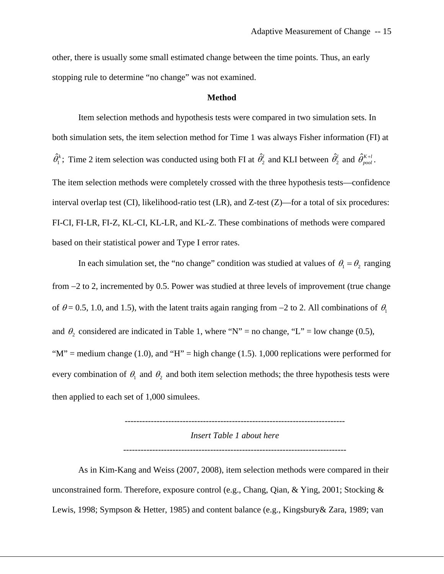other, there is usually some small estimated change between the time points. Thus, an early stopping rule to determine "no change" was not examined.

#### **Method**

Item selection methods and hypothesis tests were compared in two simulation sets. In both simulation sets, the item selection method for Time 1 was always Fisher information (FI) at  $\hat{\theta}_1^k$ ; Time 2 item selection was conducted using both FI at  $\hat{\theta}_2^l$  and KLI between  $\hat{\theta}_2^l$  and  $\hat{\theta}_{pool}^{K+l}$ . The item selection methods were completely crossed with the three hypothesis tests—confidence interval overlap test (CI), likelihood-ratio test (LR), and Z-test (Z)—for a total of six procedures: FI-CI, FI-LR, FI-Z, KL-CI, KL-LR, and KL-Z. These combinations of methods were compared based on their statistical power and Type I error rates.

In each simulation set, the "no change" condition was studied at values of  $\theta_1 = \theta_2$  ranging from −2 to 2, incremented by 0.5. Power was studied at three levels of improvement (true change of  $\theta$  = 0.5, 1.0, and 1.5), with the latent traits again ranging from −2 to 2. All combinations of  $\theta_1$ and  $\theta_2$  considered are indicated in Table 1, where "N" = no change, "L" = low change (0.5), " $M$ " = medium change (1.0), and " $H$ " = high change (1.5). 1,000 replications were performed for every combination of  $\theta_1$  and  $\theta_2$  and both item selection methods; the three hypothesis tests were then applied to each set of 1,000 simulees.

> ---------------------------------------------------------------------------- *Insert Table 1 about here*

> -----------------------------------------------------------------------------

As in Kim-Kang and Weiss (2007, 2008), item selection methods were compared in their unconstrained form. Therefore, exposure control (e.g., Chang, Qian, & Ying, 2001; Stocking & Lewis, 1998; Sympson & Hetter, 1985) and content balance (e.g., Kingsbury& Zara, 1989; van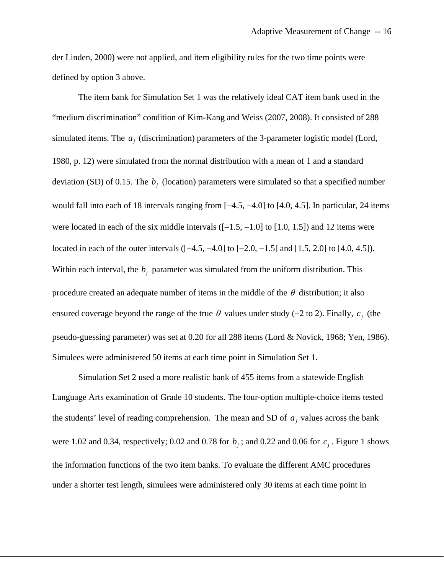der Linden, 2000) were not applied, and item eligibility rules for the two time points were defined by option 3 above.

The item bank for Simulation Set 1 was the relatively ideal CAT item bank used in the "medium discrimination" condition of Kim-Kang and Weiss (2007, 2008). It consisted of 288 simulated items. The  $a_j$  (discrimination) parameters of the 3-parameter logistic model (Lord, 1980, p. 12) were simulated from the normal distribution with a mean of 1 and a standard deviation (SD) of 0.15. The  $b_j$  (location) parameters were simulated so that a specified number would fall into each of 18 intervals ranging from [−4.5, −4.0] to [4.0, 4.5]. In particular, 24 items were located in each of the six middle intervals  $([-1.5, -1.0]$  to  $[1.0, 1.5]$ ) and 12 items were located in each of the outer intervals ([−4.5, −4.0] to [−2.0, −1.5] and [1.5, 2.0] to [4.0, 4.5]). Within each interval, the  $b_j$  parameter was simulated from the uniform distribution. This procedure created an adequate number of items in the middle of the  $\theta$  distribution; it also ensured coverage beyond the range of the true  $\theta$  values under study (-2 to 2). Finally,  $c_j$  (the pseudo-guessing parameter) was set at 0.20 for all 288 items (Lord & Novick, 1968; Yen, 1986). Simulees were administered 50 items at each time point in Simulation Set 1.

Simulation Set 2 used a more realistic bank of 455 items from a statewide English Language Arts examination of Grade 10 students. The four-option multiple-choice items tested the students' level of reading comprehension. The mean and SD of  $a_j$  values across the bank were 1.02 and 0.34, respectively; 0.02 and 0.78 for  $b_j$ ; and 0.22 and 0.06 for  $c_j$ . Figure 1 shows the information functions of the two item banks. To evaluate the different AMC procedures under a shorter test length, simulees were administered only 30 items at each time point in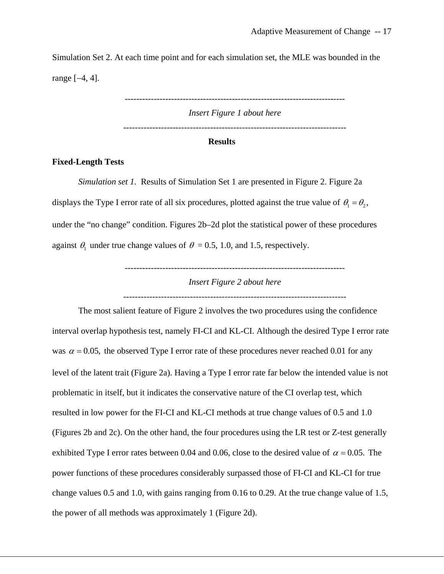Simulation Set 2. At each time point and for each simulation set, the MLE was bounded in the range [−4, 4].

> ---------------------------------------------------------------------------- *Insert Figure 1 about here*

## **Results**

## **Fixed-Length Tests**

*Simulation set 1.* Results of Simulation Set 1 are presented in Figure 2. Figure 2a displays the Type I error rate of all six procedures, plotted against the true value of  $\theta_1 = \theta_2$ , under the "no change" condition. Figures 2b–2d plot the statistical power of these procedures against  $\theta_1$  under true change values of  $\theta = 0.5, 1.0,$  and 1.5, respectively.

*Insert Figure 2 about here* 

----------------------------------------------------------------------------

-----------------------------------------------------------------------------

The most salient feature of Figure 2 involves the two procedures using the confidence interval overlap hypothesis test, namely FI-CI and KL-CI. Although the desired Type I error rate was  $\alpha = 0.05$ , the observed Type I error rate of these procedures never reached 0.01 for any level of the latent trait (Figure 2a). Having a Type I error rate far below the intended value is not problematic in itself, but it indicates the conservative nature of the CI overlap test, which resulted in low power for the FI-CI and KL-CI methods at true change values of 0.5 and 1.0 (Figures 2b and 2c). On the other hand, the four procedures using the LR test or Z-test generally exhibited Type I error rates between 0.04 and 0.06, close to the desired value of  $\alpha = 0.05$ . The power functions of these procedures considerably surpassed those of FI-CI and KL-CI for true change values 0.5 and 1.0, with gains ranging from 0.16 to 0.29. At the true change value of 1.5, the power of all methods was approximately 1 (Figure 2d).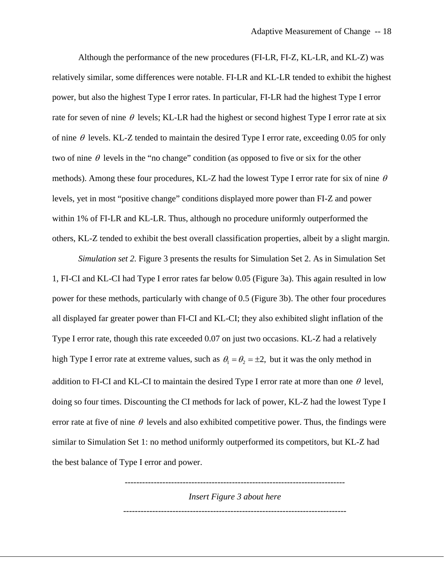Although the performance of the new procedures (FI-LR, FI-Z, KL-LR, and KL-Z) was relatively similar, some differences were notable. FI-LR and KL-LR tended to exhibit the highest power, but also the highest Type I error rates. In particular, FI-LR had the highest Type I error rate for seven of nine  $\theta$  levels; KL-LR had the highest or second highest Type I error rate at six of nine  $\theta$  levels. KL-Z tended to maintain the desired Type I error rate, exceeding 0.05 for only two of nine  $\theta$  levels in the "no change" condition (as opposed to five or six for the other methods). Among these four procedures, KL-Z had the lowest Type I error rate for six of nine  $\theta$ levels, yet in most "positive change" conditions displayed more power than FI-Z and power within 1% of FI-LR and KL-LR. Thus, although no procedure uniformly outperformed the others, KL-Z tended to exhibit the best overall classification properties, albeit by a slight margin.

*Simulation set 2.* Figure 3 presents the results for Simulation Set 2. As in Simulation Set 1, FI-CI and KL-CI had Type I error rates far below 0.05 (Figure 3a). This again resulted in low power for these methods, particularly with change of 0.5 (Figure 3b). The other four procedures all displayed far greater power than FI-CI and KL-CI; they also exhibited slight inflation of the Type I error rate, though this rate exceeded 0.07 on just two occasions. KL-Z had a relatively high Type I error rate at extreme values, such as  $\theta_1 = \theta_2 = \pm 2$ , but it was the only method in addition to FI-CI and KL-CI to maintain the desired Type I error rate at more than one  $\theta$  level, doing so four times. Discounting the CI methods for lack of power, KL-Z had the lowest Type I error rate at five of nine  $\theta$  levels and also exhibited competitive power. Thus, the findings were similar to Simulation Set 1: no method uniformly outperformed its competitors, but KL-Z had the best balance of Type I error and power.

> ---------------------------------------------------------------------------- *Insert Figure 3 about here*  -----------------------------------------------------------------------------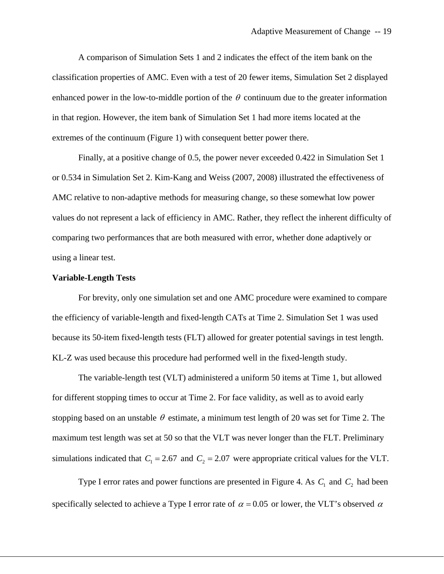A comparison of Simulation Sets 1 and 2 indicates the effect of the item bank on the classification properties of AMC. Even with a test of 20 fewer items, Simulation Set 2 displayed enhanced power in the low-to-middle portion of the  $\theta$  continuum due to the greater information in that region. However, the item bank of Simulation Set 1 had more items located at the extremes of the continuum (Figure 1) with consequent better power there.

Finally, at a positive change of 0.5, the power never exceeded 0.422 in Simulation Set 1 or 0.534 in Simulation Set 2. Kim-Kang and Weiss (2007, 2008) illustrated the effectiveness of AMC relative to non-adaptive methods for measuring change, so these somewhat low power values do not represent a lack of efficiency in AMC. Rather, they reflect the inherent difficulty of comparing two performances that are both measured with error, whether done adaptively or using a linear test.

#### **Variable-Length Tests**

 For brevity, only one simulation set and one AMC procedure were examined to compare the efficiency of variable-length and fixed-length CATs at Time 2. Simulation Set 1 was used because its 50-item fixed-length tests (FLT) allowed for greater potential savings in test length. KL-Z was used because this procedure had performed well in the fixed-length study.

 The variable-length test (VLT) administered a uniform 50 items at Time 1, but allowed for different stopping times to occur at Time 2. For face validity, as well as to avoid early stopping based on an unstable  $\theta$  estimate, a minimum test length of 20 was set for Time 2. The maximum test length was set at 50 so that the VLT was never longer than the FLT. Preliminary simulations indicated that  $C_1 = 2.67$  and  $C_2 = 2.07$  were appropriate critical values for the VLT.

Type I error rates and power functions are presented in Figure 4. As  $C_1$  and  $C_2$  had been specifically selected to achieve a Type I error rate of  $\alpha = 0.05$  or lower, the VLT's observed  $\alpha$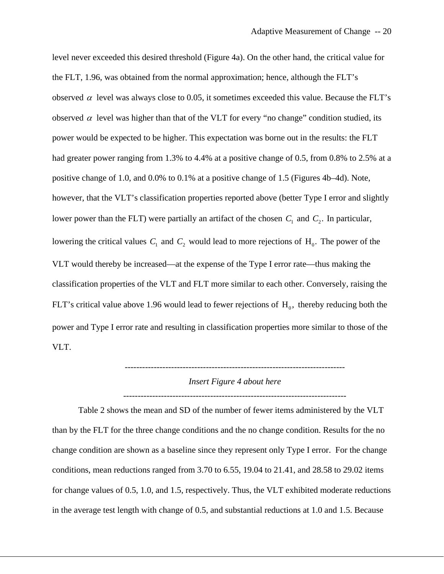level never exceeded this desired threshold (Figure 4a). On the other hand, the critical value for the FLT, 1.96, was obtained from the normal approximation; hence, although the FLT's observed  $\alpha$  level was always close to 0.05, it sometimes exceeded this value. Because the FLT's observed  $\alpha$  level was higher than that of the VLT for every "no change" condition studied, its power would be expected to be higher. This expectation was borne out in the results: the FLT had greater power ranging from 1.3% to 4.4% at a positive change of 0.5, from 0.8% to 2.5% at a positive change of 1.0, and 0.0% to 0.1% at a positive change of 1.5 (Figures 4b–4d). Note, however, that the VLT's classification properties reported above (better Type I error and slightly lower power than the FLT) were partially an artifact of the chosen  $C_1$  and  $C_2$ . In particular, lowering the critical values  $C_1$  and  $C_2$  would lead to more rejections of  $H_0$ . The power of the VLT would thereby be increased—at the expense of the Type I error rate—thus making the classification properties of the VLT and FLT more similar to each other. Conversely, raising the FLT's critical value above 1.96 would lead to fewer rejections of  $H_0$ , thereby reducing both the power and Type I error rate and resulting in classification properties more similar to those of the VLT.

> ---------------------------------------------------------------------------- *Insert Figure 4 about here*

> -----------------------------------------------------------------------------

Table 2 shows the mean and SD of the number of fewer items administered by the VLT than by the FLT for the three change conditions and the no change condition. Results for the no change condition are shown as a baseline since they represent only Type I error. For the change conditions, mean reductions ranged from 3.70 to 6.55, 19.04 to 21.41, and 28.58 to 29.02 items for change values of 0.5, 1.0, and 1.5, respectively. Thus, the VLT exhibited moderate reductions in the average test length with change of 0.5, and substantial reductions at 1.0 and 1.5. Because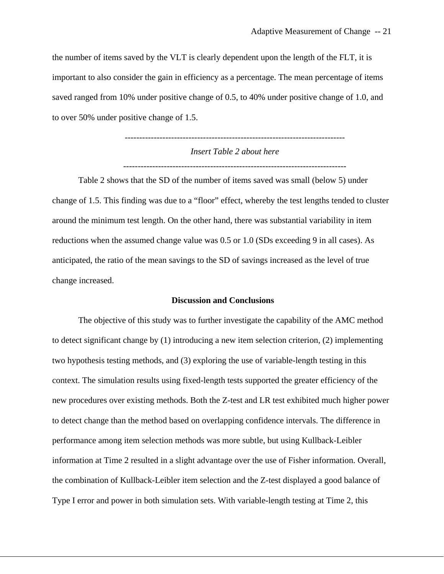the number of items saved by the VLT is clearly dependent upon the length of the FLT, it is important to also consider the gain in efficiency as a percentage. The mean percentage of items saved ranged from 10% under positive change of 0.5, to 40% under positive change of 1.0, and to over 50% under positive change of 1.5.

> ---------------------------------------------------------------------------- *Insert Table 2 about here*

> -----------------------------------------------------------------------------

Table 2 shows that the SD of the number of items saved was small (below 5) under change of 1.5. This finding was due to a "floor" effect, whereby the test lengths tended to cluster around the minimum test length. On the other hand, there was substantial variability in item reductions when the assumed change value was 0.5 or 1.0 (SDs exceeding 9 in all cases). As anticipated, the ratio of the mean savings to the SD of savings increased as the level of true change increased.

#### **Discussion and Conclusions**

 The objective of this study was to further investigate the capability of the AMC method to detect significant change by (1) introducing a new item selection criterion, (2) implementing two hypothesis testing methods, and (3) exploring the use of variable-length testing in this context. The simulation results using fixed-length tests supported the greater efficiency of the new procedures over existing methods. Both the Z-test and LR test exhibited much higher power to detect change than the method based on overlapping confidence intervals. The difference in performance among item selection methods was more subtle, but using Kullback-Leibler information at Time 2 resulted in a slight advantage over the use of Fisher information. Overall, the combination of Kullback-Leibler item selection and the Z-test displayed a good balance of Type I error and power in both simulation sets. With variable-length testing at Time 2, this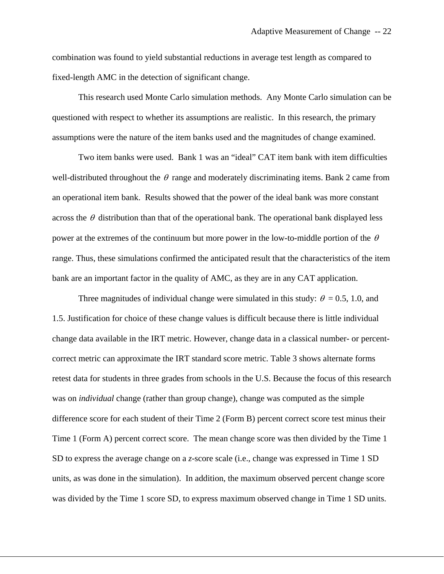combination was found to yield substantial reductions in average test length as compared to fixed-length AMC in the detection of significant change.

This research used Monte Carlo simulation methods. Any Monte Carlo simulation can be questioned with respect to whether its assumptions are realistic. In this research, the primary assumptions were the nature of the item banks used and the magnitudes of change examined.

Two item banks were used. Bank 1 was an "ideal" CAT item bank with item difficulties well-distributed throughout the  $\theta$  range and moderately discriminating items. Bank 2 came from an operational item bank. Results showed that the power of the ideal bank was more constant across the  $\theta$  distribution than that of the operational bank. The operational bank displayed less power at the extremes of the continuum but more power in the low-to-middle portion of the  $\theta$ range. Thus, these simulations confirmed the anticipated result that the characteristics of the item bank are an important factor in the quality of AMC, as they are in any CAT application.

Three magnitudes of individual change were simulated in this study:  $\theta = 0.5, 1.0,$  and 1.5. Justification for choice of these change values is difficult because there is little individual change data available in the IRT metric. However, change data in a classical number- or percentcorrect metric can approximate the IRT standard score metric. Table 3 shows alternate forms retest data for students in three grades from schools in the U.S. Because the focus of this research was on *individual* change (rather than group change), change was computed as the simple difference score for each student of their Time 2 (Form B) percent correct score test minus their Time 1 (Form A) percent correct score. The mean change score was then divided by the Time 1 SD to express the average change on a *z*-score scale (i.e., change was expressed in Time 1 SD units, as was done in the simulation). In addition, the maximum observed percent change score was divided by the Time 1 score SD, to express maximum observed change in Time 1 SD units.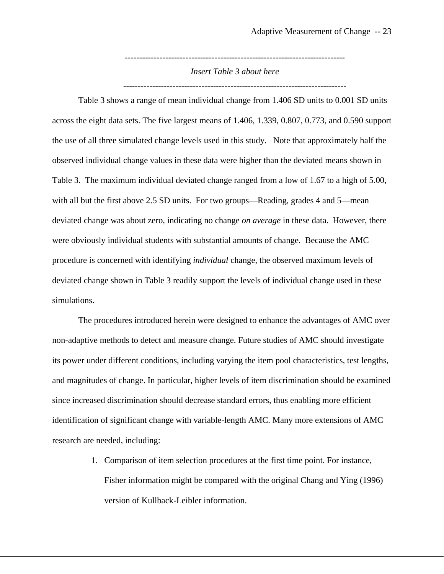---------------------------------------------------------------------------- *Insert Table 3 about here* 

-----------------------------------------------------------------------------

Table 3 shows a range of mean individual change from 1.406 SD units to 0.001 SD units across the eight data sets. The five largest means of 1.406, 1.339, 0.807, 0.773, and 0.590 support the use of all three simulated change levels used in this study. Note that approximately half the observed individual change values in these data were higher than the deviated means shown in Table 3. The maximum individual deviated change ranged from a low of 1.67 to a high of 5.00, with all but the first above 2.5 SD units. For two groups—Reading, grades 4 and 5—mean deviated change was about zero, indicating no change *on average* in these data. However, there were obviously individual students with substantial amounts of change. Because the AMC procedure is concerned with identifying *individual* change, the observed maximum levels of deviated change shown in Table 3 readily support the levels of individual change used in these simulations.

The procedures introduced herein were designed to enhance the advantages of AMC over non-adaptive methods to detect and measure change. Future studies of AMC should investigate its power under different conditions, including varying the item pool characteristics, test lengths, and magnitudes of change. In particular, higher levels of item discrimination should be examined since increased discrimination should decrease standard errors, thus enabling more efficient identification of significant change with variable-length AMC. Many more extensions of AMC research are needed, including:

> 1. Comparison of item selection procedures at the first time point. For instance, Fisher information might be compared with the original Chang and Ying (1996) version of Kullback-Leibler information.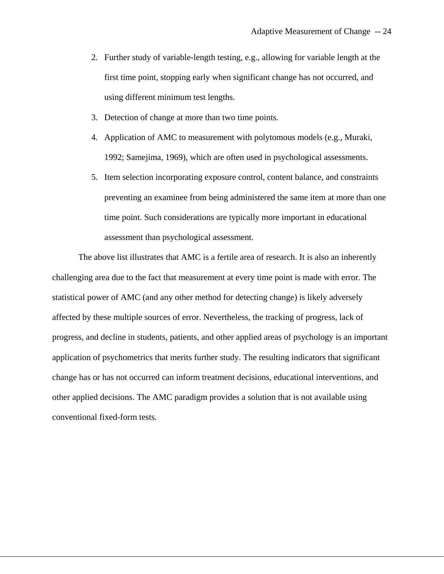- 2. Further study of variable-length testing, e.g., allowing for variable length at the first time point, stopping early when significant change has not occurred, and using different minimum test lengths.
- 3. Detection of change at more than two time points.
- 4. Application of AMC to measurement with polytomous models (e.g., Muraki, 1992; Samejima, 1969), which are often used in psychological assessments.
- 5. Item selection incorporating exposure control, content balance, and constraints preventing an examinee from being administered the same item at more than one time point. Such considerations are typically more important in educational assessment than psychological assessment.

The above list illustrates that AMC is a fertile area of research. It is also an inherently challenging area due to the fact that measurement at every time point is made with error. The statistical power of AMC (and any other method for detecting change) is likely adversely affected by these multiple sources of error. Nevertheless, the tracking of progress, lack of progress, and decline in students, patients, and other applied areas of psychology is an important application of psychometrics that merits further study. The resulting indicators that significant change has or has not occurred can inform treatment decisions, educational interventions, and other applied decisions. The AMC paradigm provides a solution that is not available using conventional fixed-form tests.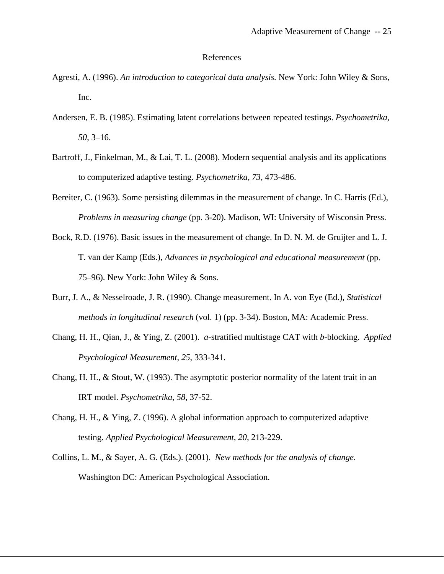#### References

- Agresti, A. (1996). *An introduction to categorical data analysis.* New York: John Wiley & Sons, Inc.
- Andersen, E. B. (1985). Estimating latent correlations between repeated testings. *Psychometrika*, *50*, 3–16.
- Bartroff, J., Finkelman, M., & Lai, T. L. (2008). Modern sequential analysis and its applications to computerized adaptive testing. *Psychometrika, 73,* 473-486.
- Bereiter, C. (1963). Some persisting dilemmas in the measurement of change. In C. Harris (Ed.), *Problems in measuring change* (pp. 3-20). Madison, WI: University of Wisconsin Press.
- Bock, R.D. (1976). Basic issues in the measurement of change. In D. N. M. de Gruijter and L. J. T. van der Kamp (Eds.), *Advances in psychological and educational measurement* (pp. 75–96). New York: John Wiley & Sons.
- Burr, J. A., & Nesselroade, J. R. (1990). Change measurement. In A. von Eye (Ed.), *Statistical methods in longitudinal research* (vol. 1) (pp. 3-34). Boston, MA: Academic Press.
- Chang, H. H., Qian, J., & Ying, Z. (2001). *a*-stratified multistage CAT with *b*-blocking. *Applied Psychological Measurement, 25*, 333-341.
- Chang, H. H., & Stout, W. (1993). The asymptotic posterior normality of the latent trait in an IRT model. *Psychometrika, 58,* 37-52.
- Chang, H. H., & Ying, Z. (1996). A global information approach to computerized adaptive testing. *Applied Psychological Measurement, 20,* 213-229.
- Collins, L. M., & Sayer, A. G. (Eds.). (2001). *New methods for the analysis of change.*  Washington DC: American Psychological Association.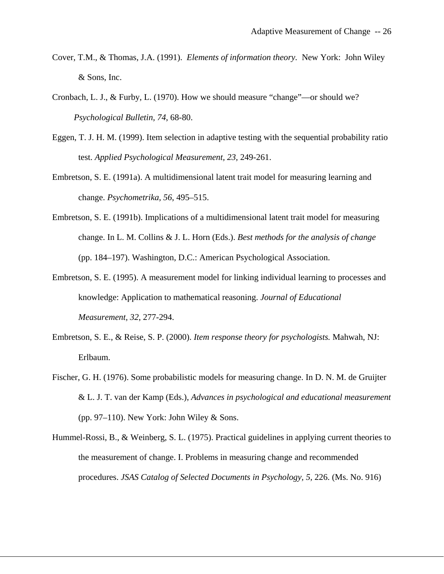- Cover, T.M., & Thomas, J.A. (1991). *Elements of information theory.* New York: John Wiley & Sons, Inc.
- Cronbach, L. J., & Furby, L. (1970). How we should measure "change"—or should we? *Psychological Bulletin, 74*, 68-80.
- Eggen, T. J. H. M. (1999). Item selection in adaptive testing with the sequential probability ratio test. *Applied Psychological Measurement, 23,* 249-261.
- Embretson, S. E. (1991a). A multidimensional latent trait model for measuring learning and change. *Psychometrika, 56*, 495–515.
- Embretson, S. E. (1991b). Implications of a multidimensional latent trait model for measuring change. In L. M. Collins & J. L. Horn (Eds.). *Best methods for the analysis of change*  (pp. 184–197). Washington, D.C.: American Psychological Association.
- Embretson, S. E. (1995). A measurement model for linking individual learning to processes and knowledge: Application to mathematical reasoning. *Journal of Educational Measurement, 32*, 277-294.
- Embretson, S. E., & Reise, S. P. (2000). *Item response theory for psychologists.* Mahwah, NJ: Erlbaum.
- Fischer, G. H. (1976). Some probabilistic models for measuring change. In D. N. M. de Gruijter & L. J. T. van der Kamp (Eds.), *Advances in psychological and educational measurement*  (pp. 97–110). New York: John Wiley  $&$  Sons.
- Hummel-Rossi, B., & Weinberg, S. L. (1975). Practical guidelines in applying current theories to the measurement of change. I. Problems in measuring change and recommended procedures. *JSAS Catalog of Selected Documents in Psychology, 5,* 226. (Ms. No. 916)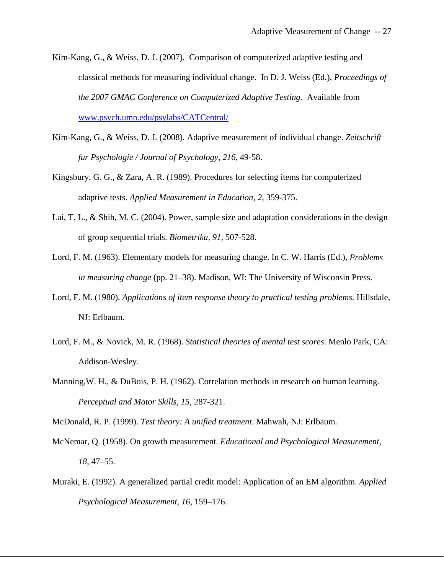- Kim-Kang, G., & Weiss, D. J. (2007). Comparison of computerized adaptive testing and classical methods for measuring individual change. In D. J. Weiss (Ed.), *Proceedings of the 2007 GMAC Conference on Computerized Adaptive Testing.* Available from [www.psych.umn.edu/psylabs/CATCentral/](http://www.psych.umn.edu/psylabs/CATCentral/)
- Kim-Kang, G., & Weiss, D. J. (2008). Adaptive measurement of individual change. *Zeitschrift fur Psychologie / Journal of Psychology, 216,* 49-58.
- Kingsbury, G. G., & Zara, A. R. (1989). Procedures for selecting items for computerized adaptive tests. *Applied Measurement in Education, 2,* 359-375.
- Lai, T. L., & Shih, M. C. (2004). Power, sample size and adaptation considerations in the design of group sequential trials. *Biometrika, 91,* 507-528.
- Lord, F. M. (1963). Elementary models for measuring change. In C. W. Harris (Ed.), *Problems in measuring change* (pp. 21–38). Madison, WI: The University of Wisconsin Press.
- Lord, F. M. (1980). *Applications of item response theory to practical testing problems.* Hillsdale, NJ: Erlbaum.
- Lord, F. M., & Novick, M. R. (1968). *Statistical theories of mental test scores*. Menlo Park, CA: Addison-Wesley.
- Manning,W. H., & DuBois, P. H. (1962). Correlation methods in research on human learning. *Perceptual and Motor Skills, 15*, 287-321.

McDonald, R. P. (1999). *Test theory: A unified treatment*. Mahwah, NJ: Erlbaum.

- McNemar, Q. (1958). On growth measurement. *Educational and Psychological Measurement*, *18*, 47–55.
- Muraki, E. (1992). A generalized partial credit model: Application of an EM algorithm. *Applied Psychological Measurement, 16,* 159–176.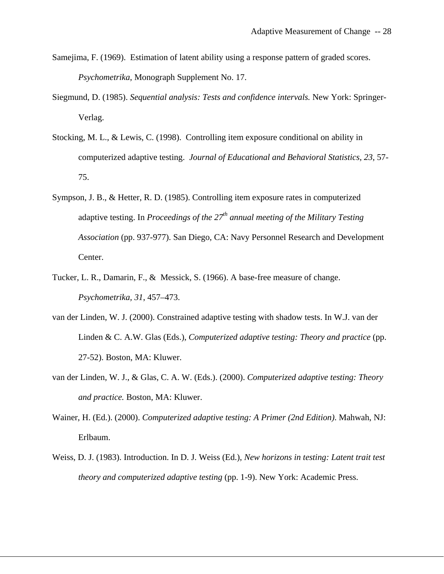- Samejima, F. (1969). Estimation of latent ability using a response pattern of graded scores. *Psychometrika*, Monograph Supplement No. 17.
- Siegmund, D. (1985). *Sequential analysis: Tests and confidence intervals.* New York: Springer-Verlag.
- Stocking, M. L., & Lewis, C. (1998). Controlling item exposure conditional on ability in computerized adaptive testing. *Journal of Educational and Behavioral Statistics, 23*, 57- 75.
- Sympson, J. B., & Hetter, R. D. (1985). Controlling item exposure rates in computerized adaptive testing. In *Proceedings of the 27th annual meeting of the Military Testing Association* (pp. 937-977). San Diego, CA: Navy Personnel Research and Development Center.
- Tucker, L. R., Damarin, F., & Messick, S. (1966). A base-free measure of change. *Psychometrika, 31*, 457–473.
- van der Linden, W. J. (2000). Constrained adaptive testing with shadow tests. In W.J. van der Linden & C. A.W. Glas (Eds.), *Computerized adaptive testing: Theory and practice* (pp. 27-52). Boston, MA: Kluwer.
- van der Linden, W. J., & Glas, C. A. W. (Eds.). (2000). *Computerized adaptive testing: Theory and practice.* Boston, MA: Kluwer.
- Wainer, H. (Ed.). (2000). *Computerized adaptive testing: A Primer (2nd Edition)*. Mahwah, NJ: Erlbaum.
- Weiss, D. J. (1983). Introduction. In D. J. Weiss (Ed.), *New horizons in testing: Latent trait test theory and computerized adaptive testing* (pp. 1-9). New York: Academic Press.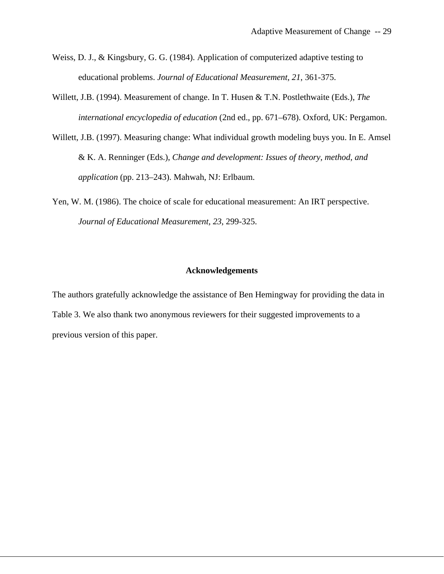- Weiss, D. J., & Kingsbury, G. G. (1984). Application of computerized adaptive testing to educational problems. *Journal of Educational Measurement, 21*, 361-375.
- Willett, J.B. (1994). Measurement of change. In T. Husen & T.N. Postlethwaite (Eds.), *The international encyclopedia of education* (2nd ed., pp. 671–678). Oxford, UK: Pergamon.
- Willett, J.B. (1997). Measuring change: What individual growth modeling buys you. In E. Amsel & K. A. Renninger (Eds.), *Change and development: Issues of theory, method, and application* (pp. 213–243). Mahwah, NJ: Erlbaum.
- Yen, W. M. (1986). The choice of scale for educational measurement: An IRT perspective. *Journal of Educational Measurement, 23*, 299-325.

### **Acknowledgements**

The authors gratefully acknowledge the assistance of Ben Hemingway for providing the data in Table 3. We also thank two anonymous reviewers for their suggested improvements to a previous version of this paper.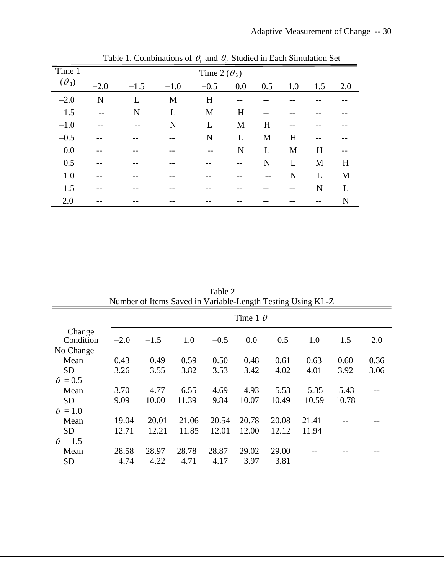| Time 1       |        | Time 2 $(\theta_2)$ |        |        |     |     |     |     |     |  |
|--------------|--------|---------------------|--------|--------|-----|-----|-----|-----|-----|--|
| $(\theta_1)$ | $-2.0$ | $-1.5$              | $-1.0$ | $-0.5$ | 0.0 | 0.5 | 1.0 | 1.5 | 2.0 |  |
| $-2.0$       | N      | L                   | M      | H      |     |     |     |     |     |  |
| $-1.5$       | $- -$  | N                   | L      | M      | H   |     |     |     |     |  |
| $-1.0$       |        |                     | N      | L      | M   | H   | --  |     |     |  |
| $-0.5$       |        |                     | --     | N      | L   | M   | H   |     |     |  |
| 0.0          |        |                     |        |        | N   | L   | M   | H   |     |  |
| 0.5          |        |                     |        |        |     | N   | L   | M   | H   |  |
| 1.0          |        |                     |        |        |     | --  | N   | L   | M   |  |
| 1.5          |        |                     |        |        |     |     | --  | N   | L   |  |
| 2.0          |        |                     |        |        |     |     |     |     | N   |  |

Table 1. Combinations of  $\theta_1$  and  $\theta_2$  Studied in Each Simulation Set

| Number of Items Saved in Variable-Length Testing Using KL-Z |        |                 |       |        |       |       |       |       |      |  |
|-------------------------------------------------------------|--------|-----------------|-------|--------|-------|-------|-------|-------|------|--|
|                                                             |        | Time 1 $\theta$ |       |        |       |       |       |       |      |  |
| Change                                                      |        |                 |       |        |       |       |       |       |      |  |
| Condition                                                   | $-2.0$ | $-1.5$          | 1.0   | $-0.5$ | 0.0   | 0.5   | 1.0   | 1.5   | 2.0  |  |
| No Change                                                   |        |                 |       |        |       |       |       |       |      |  |
| Mean                                                        | 0.43   | 0.49            | 0.59  | 0.50   | 0.48  | 0.61  | 0.63  | 0.60  | 0.36 |  |
| <b>SD</b>                                                   | 3.26   | 3.55            | 3.82  | 3.53   | 3.42  | 4.02  | 4.01  | 3.92  | 3.06 |  |
| $\theta = 0.5$                                              |        |                 |       |        |       |       |       |       |      |  |
| Mean                                                        | 3.70   | 4.77            | 6.55  | 4.69   | 4.93  | 5.53  | 5.35  | 5.43  |      |  |
| <b>SD</b>                                                   | 9.09   | 10.00           | 11.39 | 9.84   | 10.07 | 10.49 | 10.59 | 10.78 |      |  |
| $\theta = 1.0$                                              |        |                 |       |        |       |       |       |       |      |  |
| Mean                                                        | 19.04  | 20.01           | 21.06 | 20.54  | 20.78 | 20.08 | 21.41 |       |      |  |
| <b>SD</b>                                                   | 12.71  | 12.21           | 11.85 | 12.01  | 12.00 | 12.12 | 11.94 |       |      |  |
| $\theta = 1.5$                                              |        |                 |       |        |       |       |       |       |      |  |
| Mean                                                        | 28.58  | 28.97           | 28.78 | 28.87  | 29.02 | 29.00 |       |       |      |  |
| <b>SD</b>                                                   | 4.74   | 4.22            | 4.71  | 4.17   | 3.97  | 3.81  |       |       |      |  |

Table 2<br>Verieble I Number of Items Saved in Variable-Length Testing Using KL-Z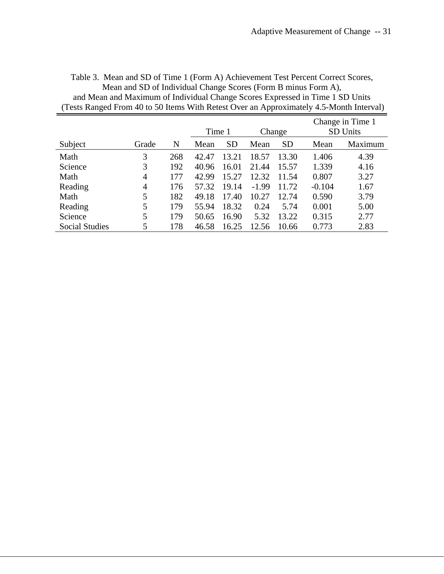Table 3. Mean and SD of Time 1 (Form A) Achievement Test Percent Correct Scores, Mean and SD of Individual Change Scores (Form B minus Form A), and Mean and Maximum of Individual Change Scores Expressed in Time 1 SD Units (Tests Ranged From 40 to 50 Items With Retest Over an Approximately 4.5-Month Interval)

|                       |                |     |        |           |         | Change in Time 1 |                 |         |
|-----------------------|----------------|-----|--------|-----------|---------|------------------|-----------------|---------|
|                       |                |     | Time 1 |           | Change  |                  | <b>SD Units</b> |         |
| Subject               | Grade          | N   | Mean   | <b>SD</b> | Mean    | <b>SD</b>        | Mean            | Maximum |
| Math                  | 3              | 268 | 42.47  | 13.21     | 18.57   | 13.30            | 1.406           | 4.39    |
| Science               | 3              | 192 | 40.96  | 16.01     | 21.44   | 15.57            | 1.339           | 4.16    |
| Math                  | 4              | 177 | 42.99  | 15.27     | 12.32   | 11.54            | 0.807           | 3.27    |
| Reading               | $\overline{4}$ | 176 | 57.32  | 19.14     | $-1.99$ | 11.72            | $-0.104$        | 1.67    |
| Math                  | 5              | 182 | 49.18  | 17.40     | 10.27   | 12.74            | 0.590           | 3.79    |
| Reading               | 5              | 179 | 55.94  | 18.32     | 0.24    | 5.74             | 0.001           | 5.00    |
| Science               | 5              | 179 | 50.65  | 16.90     | 5.32    | 13.22            | 0.315           | 2.77    |
| <b>Social Studies</b> | 5              | 178 | 46.58  | 16.25     | 12.56   | 10.66            | 0.773           | 2.83    |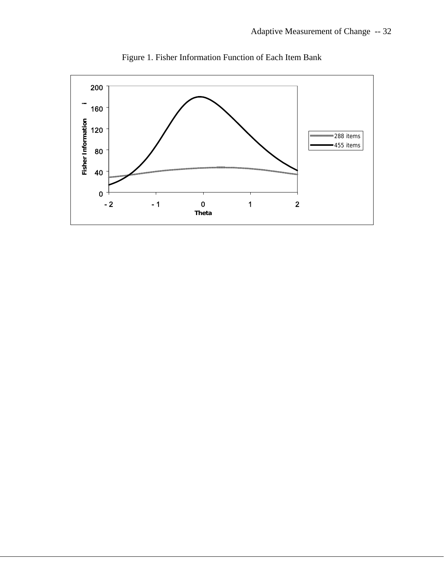

Figure 1. Fisher Information Function of Each Item Bank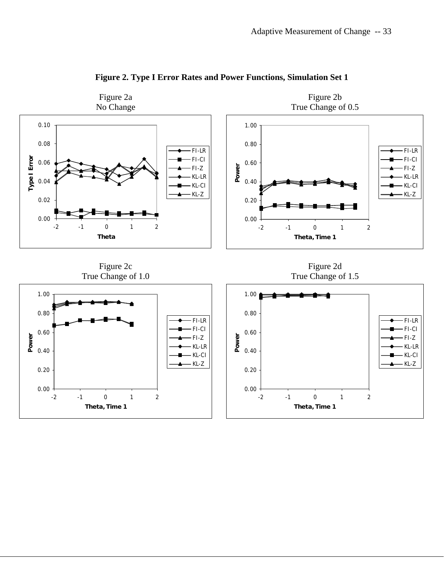

# **Figure 2. Type I Error Rates and Power Functions, Simulation Set 1**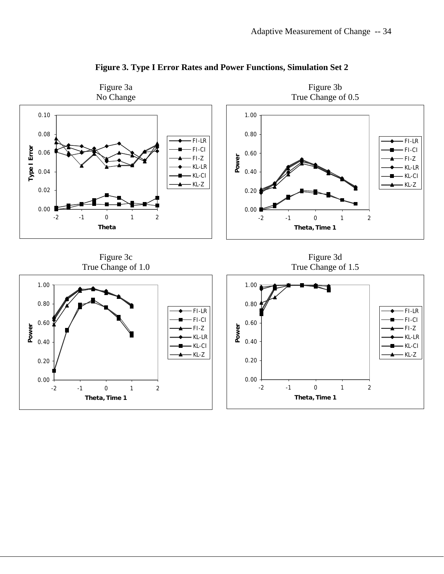

**Figure 3. Type I Error Rates and Power Functions, Simulation Set 2**